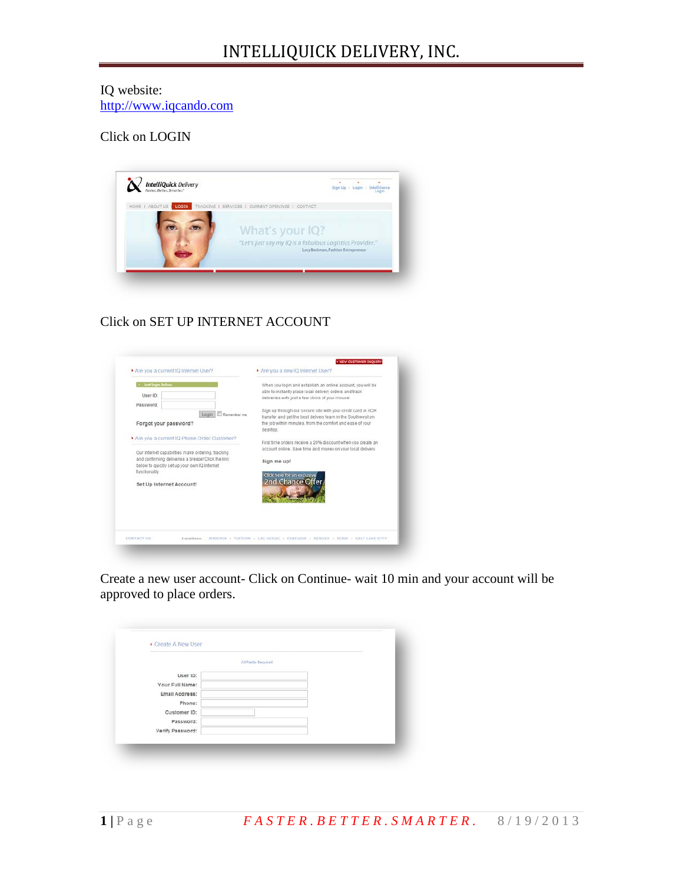## IQ website: [http://www.iqcando.com](http://www.iqcando.com/)

## Click on LOGIN



## Click on SET UP INTERNET ACCOUNT

| User ID:                                                                                                                                                                                                                                            | able to instantly place local delivery orders and track<br>deliveries with just a few clicks of your mouse.                                                                                          |
|-----------------------------------------------------------------------------------------------------------------------------------------------------------------------------------------------------------------------------------------------------|------------------------------------------------------------------------------------------------------------------------------------------------------------------------------------------------------|
| Password:<br>Login   Remember me<br>Forgot your password?                                                                                                                                                                                           | Sign up through our secure site with your credit card or ACH<br>transfer and get the best delivery team in the Southwest on<br>the job within minutes, from the comfort and ease of your<br>desktop. |
| Are you a current IQ Phone Order Customer?<br>Our Internet capabilities make ordering, tracking<br>and confirming deliveries a breeze! Click the link<br>below to quickly set up your own IQ Internet<br>functionality.<br>Set Up Internet Account! | First time orders receive a 20% discount when you create an<br>account online. Save time and money on your local delivery.<br>Sign me up!<br>Click here for an exclusive<br>2nd Chance Offer         |

Create a new user account- Click on Continue- wait 10 min and your account will be approved to place orders.

|                  | At Faith Required |  |
|------------------|-------------------|--|
| User ID:         |                   |  |
| Your Full Name:  |                   |  |
| Email Address:   |                   |  |
| Phone:           |                   |  |
| Customer ID:     |                   |  |
| Password:        |                   |  |
| Verify Password: |                   |  |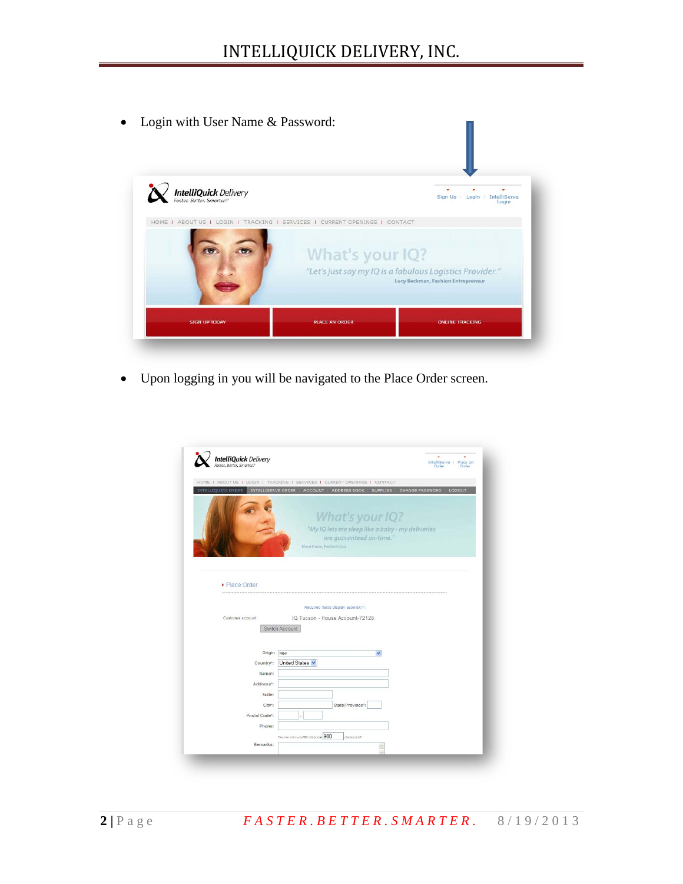• Login with User Name & Password:



• Upon logging in you will be navigated to the Place Order screen.

| <b>IntelliQuick</b> Delivery                    | IntelliServe   Place an<br>Order<br>Order                                                                                    |
|-------------------------------------------------|------------------------------------------------------------------------------------------------------------------------------|
|                                                 | HOME   ABOUT US   LOGIN   TRACKING   SERVICES   CURRENT OPENINGS   CONTACT                                                   |
| <b>INTELLIQUICK ORDER</b><br>INTELLISERVE ORDER | ADDRESS BOOK   SUPPLIES   CHANGE PASSWORD<br>ACCOUNT<br>LOGOUT                                                               |
|                                                 | What's your IQ?<br>"My IQ lets me sleep like a baby - my deliveries<br>are guaranteed on-time."<br>Mare Davis, Pediatrician. |
| • Place Order                                   |                                                                                                                              |
| Customer account:                               | Required fields display asterisk(*)<br>IQ Tucson - House Account-72128                                                       |
|                                                 | Switch Account                                                                                                               |
| Origin New                                      | $\checkmark$                                                                                                                 |
| Country <sup>*</sup> :                          | United States                                                                                                                |
| Name*:                                          |                                                                                                                              |
| Address <sup>*</sup> :                          |                                                                                                                              |
| Suite:                                          |                                                                                                                              |
| City <sup>*</sup> :                             | State/Province*:                                                                                                             |
| Postal Code*:                                   |                                                                                                                              |
| Phone:                                          |                                                                                                                              |
|                                                 |                                                                                                                              |
| Remarks:                                        | (You may enter up to 900 characters) 900<br>characters left<br>×                                                             |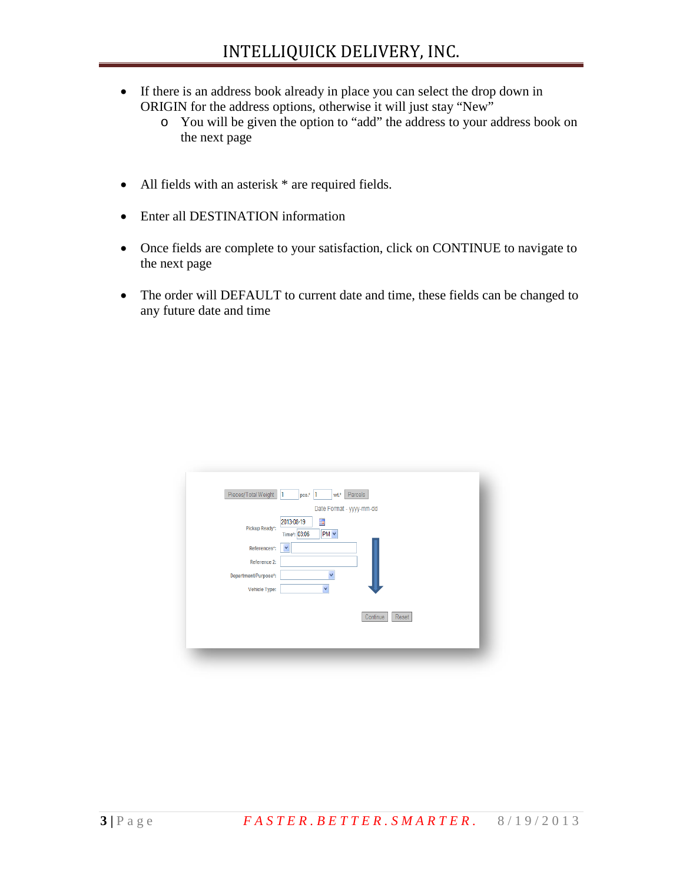- If there is an address book already in place you can select the drop down in ORIGIN for the address options, otherwise it will just stay "New"
	- o You will be given the option to "add" the address to your address book on the next page
- All fields with an asterisk  $*$  are required fields.
- Enter all DESTINATION information
- Once fields are complete to your satisfaction, click on CONTINUE to navigate to the next page
- The order will DEFAULT to current date and time, these fields can be changed to any future date and time

| Pieces/Total Weight 1 | Parcels<br>$pcs.*$  1<br>wt.*                |
|-----------------------|----------------------------------------------|
|                       | Date Format - yyyy-mm-dd                     |
| Pickup Ready*:        | 圃<br>2013-08-19<br>$PM \vee$<br>Time*: 03:06 |
| References*:          | $\checkmark$                                 |
| Reference 2:          |                                              |
| Department/Purpose*:  |                                              |
| Vehicle Type:         |                                              |
|                       |                                              |
|                       | Continue<br>Reset                            |
|                       |                                              |
|                       |                                              |
|                       |                                              |
|                       |                                              |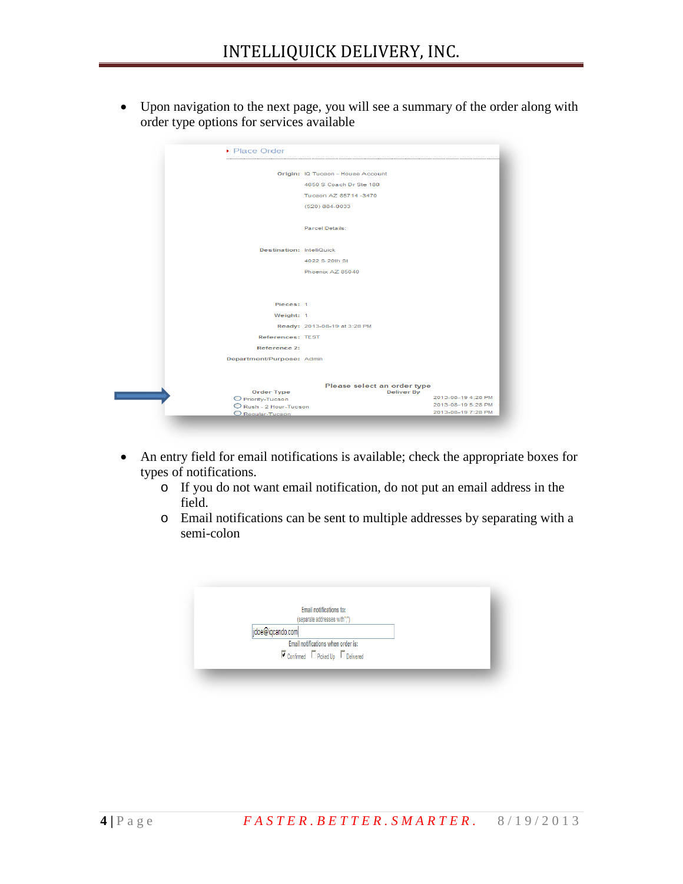• Upon navigation to the next page, you will see a summary of the order along with order type options for services available

| ▶ Place Order                    |                                   |                    |
|----------------------------------|-----------------------------------|--------------------|
|                                  | Origin: IQ Tucson - House Account |                    |
|                                  | 4650 S Coach Dr Ste 180           |                    |
|                                  |                                   |                    |
|                                  | Tucson AZ 85714-3470              |                    |
|                                  | (520) 884-0033                    |                    |
|                                  |                                   |                    |
|                                  | <b>Parcel Details:</b>            |                    |
|                                  |                                   |                    |
| <b>Destination: IntelliQuick</b> |                                   |                    |
|                                  | 4022 S 20th St                    |                    |
|                                  | Phoenix AZ 85040                  |                    |
|                                  |                                   |                    |
|                                  |                                   |                    |
|                                  |                                   |                    |
| Pieces: 1                        |                                   |                    |
| Weight: 1                        |                                   |                    |
|                                  | Ready: 2013-08-19 at 3:28 PM      |                    |
| References: TEST                 |                                   |                    |
| Reference 2:                     |                                   |                    |
| Department/Purpose: Admin        |                                   |                    |
|                                  |                                   |                    |
|                                  |                                   |                    |
|                                  | Please select an order type       |                    |
| Order Type<br>O Priority-Tucson  | <b>Deliver By</b>                 | 2013-08-19 4:28 PM |
| Rush - 2 Hour-Tucson             |                                   | 2013-08-19 5:28 PM |
| O Requiar-Tucson                 |                                   | 2013-08-19 7:28 PM |

- An entry field for email notifications is available; check the appropriate boxes for types of notifications.
	- o If you do not want email notification, do not put an email address in the field.
	- o Email notifications can be sent to multiple addresses by separating with a semi-colon

| Email notifications to:                                                    |  |
|----------------------------------------------------------------------------|--|
| (separate addresses with":")                                               |  |
| jdoe@iqcando.com                                                           |  |
| Email notifications when order is:                                         |  |
| $\blacksquare$ Confirmed $\blacksquare$ Picked Up $\blacksquare$ Delivered |  |